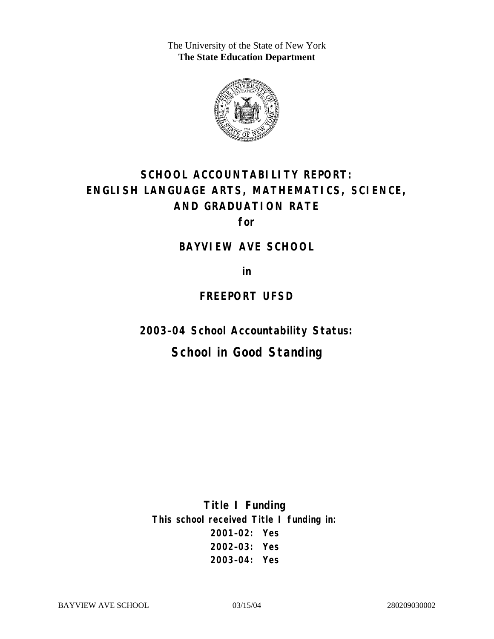The University of the State of New York **The State Education Department** 



# **SCHOOL ACCOUNTABILITY REPORT: ENGLISH LANGUAGE ARTS, MATHEMATICS, SCIENCE, AND GRADUATION RATE**

**for** 

#### **BAYVIEW AVE SCHOOL**

**in** 

### **FREEPORT UFSD**

**2003–04 School Accountability Status:** 

# **School in Good Standing**

**Title I Funding This school received Title I funding in: 2001–02: Yes 2002–03: Yes 2003–04: Yes**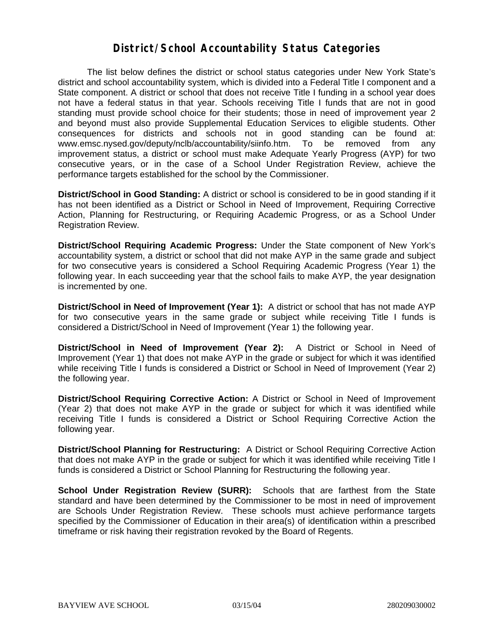#### **District/School Accountability Status Categories**

The list below defines the district or school status categories under New York State's district and school accountability system, which is divided into a Federal Title I component and a State component. A district or school that does not receive Title I funding in a school year does not have a federal status in that year. Schools receiving Title I funds that are not in good standing must provide school choice for their students; those in need of improvement year 2 and beyond must also provide Supplemental Education Services to eligible students. Other consequences for districts and schools not in good standing can be found at: www.emsc.nysed.gov/deputy/nclb/accountability/siinfo.htm. To be removed from any improvement status, a district or school must make Adequate Yearly Progress (AYP) for two consecutive years, or in the case of a School Under Registration Review, achieve the performance targets established for the school by the Commissioner.

**District/School in Good Standing:** A district or school is considered to be in good standing if it has not been identified as a District or School in Need of Improvement, Requiring Corrective Action, Planning for Restructuring, or Requiring Academic Progress, or as a School Under Registration Review.

**District/School Requiring Academic Progress:** Under the State component of New York's accountability system, a district or school that did not make AYP in the same grade and subject for two consecutive years is considered a School Requiring Academic Progress (Year 1) the following year. In each succeeding year that the school fails to make AYP, the year designation is incremented by one.

**District/School in Need of Improvement (Year 1):** A district or school that has not made AYP for two consecutive years in the same grade or subject while receiving Title I funds is considered a District/School in Need of Improvement (Year 1) the following year.

**District/School in Need of Improvement (Year 2):** A District or School in Need of Improvement (Year 1) that does not make AYP in the grade or subject for which it was identified while receiving Title I funds is considered a District or School in Need of Improvement (Year 2) the following year.

**District/School Requiring Corrective Action:** A District or School in Need of Improvement (Year 2) that does not make AYP in the grade or subject for which it was identified while receiving Title I funds is considered a District or School Requiring Corrective Action the following year.

**District/School Planning for Restructuring:** A District or School Requiring Corrective Action that does not make AYP in the grade or subject for which it was identified while receiving Title I funds is considered a District or School Planning for Restructuring the following year.

**School Under Registration Review (SURR):** Schools that are farthest from the State standard and have been determined by the Commissioner to be most in need of improvement are Schools Under Registration Review. These schools must achieve performance targets specified by the Commissioner of Education in their area(s) of identification within a prescribed timeframe or risk having their registration revoked by the Board of Regents.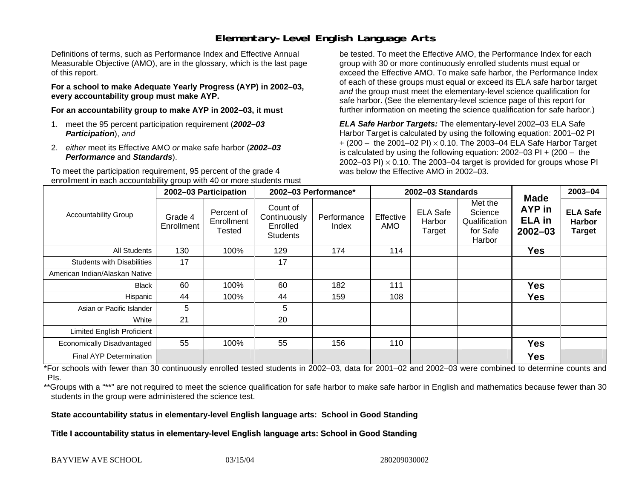# **Elementary-Level English Language Arts**

Definitions of terms, such as Performance Index and Effective Annual Measurable Objective (AMO), are in the glossary, which is the last page of this report.

**For a school to make Adequate Yearly Progress (AYP) in 2002–03, every accountability group must make AYP.** 

**For an accountability group to make AYP in 2002–03, it must** 

- 1. meet the 95 percent participation requirement (*2002–03 Participation*), *and*
- 2. *either* meet its Effective AMO *or* make safe harbor (*2002–03 Performance* and *Standards*).

To meet the participation requirement, 95 percent of the grade 4 enrollment in each accountability group with 40 or more students must

be tested. To meet the Effective AMO, the Performance Index for each group with 30 or more continuously enrolled students must equal or exceed the Effective AMO. To make safe harbor, the Performance Index of each of these groups must equal or exceed its ELA safe harbor target *and* the group must meet the elementary-level science qualification for safe harbor. (See the elementary-level science page of this report for further information on meeting the science qualification for safe harbor.)

*ELA Safe Harbor Targets:* The elementary-level 2002–03 ELA Safe Harbor Target is calculated by using the following equation: 2001–02 PI + (200 – the 2001–02 PI) <sup>×</sup> 0.10. The 2003–04 ELA Safe Harbor Target is calculated by using the following equation: 2002–03 PI + (200 – the 2002–03 PI)  $\times$  0.10. The 2003–04 target is provided for groups whose PI was below the Effective AMO in 2002–03.

| <b>Accountability Group</b>       | 2002-03 Participation |                                    | 2002-03 Performance*                                    |                      | 2002-03 Standards |                                     |                                                           |                                                              | 2003-04                                           |
|-----------------------------------|-----------------------|------------------------------------|---------------------------------------------------------|----------------------|-------------------|-------------------------------------|-----------------------------------------------------------|--------------------------------------------------------------|---------------------------------------------------|
|                                   | Grade 4<br>Enrollment | Percent of<br>Enrollment<br>Tested | Count of<br>Continuously<br>Enrolled<br><b>Students</b> | Performance<br>Index | Effective<br>AMO  | <b>ELA Safe</b><br>Harbor<br>Target | Met the<br>Science<br>Qualification<br>for Safe<br>Harbor | <b>Made</b><br><b>AYP</b> in<br><b>ELA</b> in<br>$2002 - 03$ | <b>ELA Safe</b><br><b>Harbor</b><br><b>Target</b> |
| All Students                      | 130                   | 100%                               | 129                                                     | 174                  | 114               |                                     |                                                           | <b>Yes</b>                                                   |                                                   |
| <b>Students with Disabilities</b> | 17                    |                                    | 17                                                      |                      |                   |                                     |                                                           |                                                              |                                                   |
| American Indian/Alaskan Native    |                       |                                    |                                                         |                      |                   |                                     |                                                           |                                                              |                                                   |
| <b>Black</b>                      | 60                    | 100%                               | 60                                                      | 182                  | 111               |                                     |                                                           | <b>Yes</b>                                                   |                                                   |
| Hispanic                          | 44                    | 100%                               | 44                                                      | 159                  | 108               |                                     |                                                           | <b>Yes</b>                                                   |                                                   |
| Asian or Pacific Islander         | 5                     |                                    | 5                                                       |                      |                   |                                     |                                                           |                                                              |                                                   |
| White                             | 21                    |                                    | 20                                                      |                      |                   |                                     |                                                           |                                                              |                                                   |
| Limited English Proficient        |                       |                                    |                                                         |                      |                   |                                     |                                                           |                                                              |                                                   |
| Economically Disadvantaged        | 55                    | 100%                               | 55                                                      | 156                  | 110               |                                     |                                                           | <b>Yes</b>                                                   |                                                   |
| Final AYP Determination           |                       |                                    |                                                         |                      |                   |                                     |                                                           | <b>Yes</b>                                                   |                                                   |

\*For schools with fewer than 30 continuously enrolled tested students in 2002–03, data for 2001–02 and 2002–03 were combined to determine counts and PIs.

\*\*Groups with a "\*\*" are not required to meet the science qualification for safe harbor to make safe harbor in English and mathematics because fewer than 30 students in the group were administered the science test.

**State accountability status in elementary-level English language arts: School in Good Standing** 

Title I accountability status in elementary-level English language arts: School in Good Standing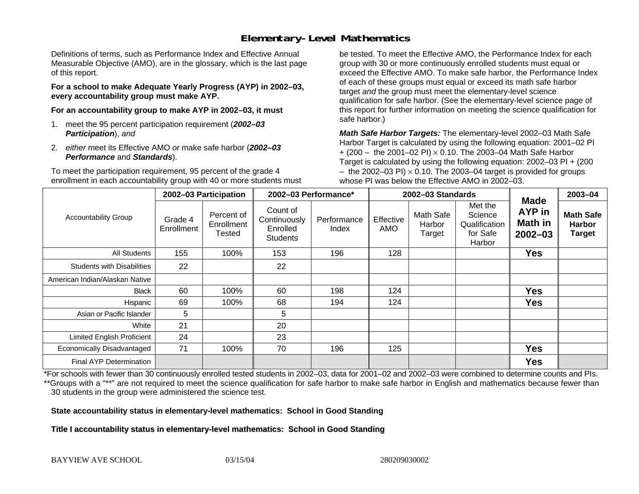# **Elementary-Level Mathematics**

Definitions of terms, such as Performance Index and Effective Annual Measurable Objective (AMO), are in the glossary, which is the last page of this report.

**For a school to make Adequate Yearly Progress (AYP) in 2002–03, every accountability group must make AYP.** 

**For an accountability group to make AYP in 2002–03, it must** 

- 1. meet the 95 percent participation requirement (*2002–03 Participation*), *and*
- 2. *either* meet its Effective AMO *or* make safe harbor (*2002–03 Performance* and *Standards*).

To meet the participation requirement, 95 percent of the grade 4 enrollment in each accountability group with 40 or more students must

be tested. To meet the Effective AMO, the Performance Index for each group with 30 or more continuously enrolled students must equal or exceed the Effective AMO. To make safe harbor, the Performance Index of each of these groups must equal or exceed its math safe harbor target *and* the group must meet the elementary-level science qualification for safe harbor. (See the elementary-level science page of this report for further information on meeting the science qualification for safe harbor.)

*Math Safe Harbor Targets:* The elementary-level 2002–03 Math Safe Harbor Target is calculated by using the following equation: 2001–02 PI + (200 – the 2001–02 PI) × 0.10. The 2003–04 Math Safe Harbor Target is calculated by using the following equation: 2002–03 PI + (200  $-$  the 2002–03 PI)  $\times$  0.10. The 2003–04 target is provided for groups whose PI was below the Effective AMO in 2002–03.

| <b>Accountability Group</b>       | 2002-03 Participation |                                    | 2002-03 Performance*                                    |                      | 2002-03 Standards       |                               |                                                           |                                                               | 2003-04                                            |
|-----------------------------------|-----------------------|------------------------------------|---------------------------------------------------------|----------------------|-------------------------|-------------------------------|-----------------------------------------------------------|---------------------------------------------------------------|----------------------------------------------------|
|                                   | Grade 4<br>Enrollment | Percent of<br>Enrollment<br>Tested | Count of<br>Continuously<br>Enrolled<br><b>Students</b> | Performance<br>Index | Effective<br><b>AMO</b> | Math Safe<br>Harbor<br>Target | Met the<br>Science<br>Qualification<br>for Safe<br>Harbor | <b>Made</b><br><b>AYP</b> in<br><b>Math in</b><br>$2002 - 03$ | <b>Math Safe</b><br><b>Harbor</b><br><b>Target</b> |
| All Students                      | 155                   | 100%                               | 153                                                     | 196                  | 128                     |                               |                                                           | <b>Yes</b>                                                    |                                                    |
| <b>Students with Disabilities</b> | 22                    |                                    | 22                                                      |                      |                         |                               |                                                           |                                                               |                                                    |
| American Indian/Alaskan Native    |                       |                                    |                                                         |                      |                         |                               |                                                           |                                                               |                                                    |
| <b>Black</b>                      | 60                    | 100%                               | 60                                                      | 198                  | 124                     |                               |                                                           | <b>Yes</b>                                                    |                                                    |
| Hispanic                          | 69                    | 100%                               | 68                                                      | 194                  | 124                     |                               |                                                           | <b>Yes</b>                                                    |                                                    |
| Asian or Pacific Islander         | 5                     |                                    | 5                                                       |                      |                         |                               |                                                           |                                                               |                                                    |
| White                             | 21                    |                                    | 20                                                      |                      |                         |                               |                                                           |                                                               |                                                    |
| <b>Limited English Proficient</b> | 24                    |                                    | 23                                                      |                      |                         |                               |                                                           |                                                               |                                                    |
| Economically Disadvantaged        | 71                    | 100%                               | 70                                                      | 196                  | 125                     |                               |                                                           | <b>Yes</b>                                                    |                                                    |
| <b>Final AYP Determination</b>    |                       |                                    |                                                         |                      |                         |                               |                                                           | <b>Yes</b>                                                    |                                                    |

\*For schools with fewer than 30 continuously enrolled tested students in 2002–03, data for 2001–02 and 2002–03 were combined to determine counts and PIs. \*\*Groups with a "\*\*" are not required to meet the science qualification for safe harbor to make safe harbor in English and mathematics because fewer than 30 students in the group were administered the science test.

**State accountability status in elementary-level mathematics: School in Good Standing** 

Title I accountability status in elementary-level mathematics: School in Good Standing

BAYVIEW AVE SCHOOL 03/15/04 280209030002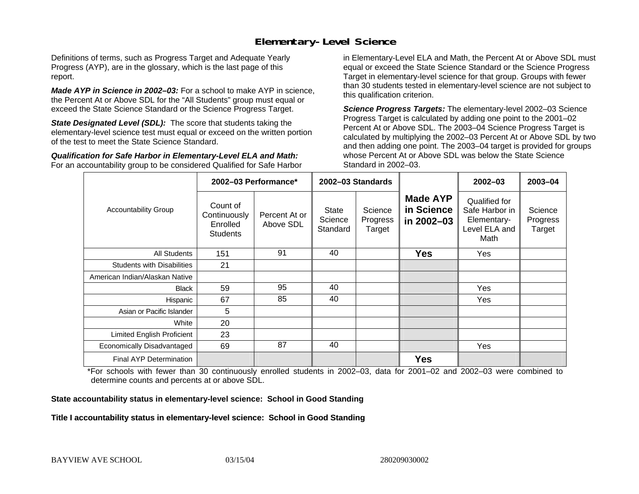### **Elementary-Level Science**

Definitions of terms, such as Progress Target and Adequate Yearly Progress (AYP), are in the glossary, which is the last page of this report.

*Made AYP in Science in 2002–03:* For a school to make AYP in science, the Percent At or Above SDL for the "All Students" group must equal or exceed the State Science Standard or the Science Progress Target.

**State Designated Level (SDL):** The score that students taking the elementary-level science test must equal or exceed on the written portion of the test to meet the State Science Standard.

*Qualification for Safe Harbor in Elementary-Level ELA and Math:* For an accountability group to be considered Qualified for Safe Harbor in Elementary-Level ELA and Math, the Percent At or Above SDL must equal or exceed the State Science Standard or the Science Progress Target in elementary-level science for that group. Groups with fewer than 30 students tested in elementary-level science are not subject to this qualification criterion.

*Science Progress Targets:* The elementary-level 2002–03 Science Progress Target is calculated by adding one point to the 2001–02 Percent At or Above SDL. The 2003–04 Science Progress Target is calculated by multiplying the 2002–03 Percent At or Above SDL by two and then adding one point. The 2003–04 target is provided for groups whose Percent At or Above SDL was below the State Science Standard in 2002–03.

|                                   |                                                         | 2002-03 Performance*       | 2002-03 Standards                   |                               |                                             | $2002 - 03$                                                             | 2003-04                       |
|-----------------------------------|---------------------------------------------------------|----------------------------|-------------------------------------|-------------------------------|---------------------------------------------|-------------------------------------------------------------------------|-------------------------------|
| <b>Accountability Group</b>       | Count of<br>Continuously<br>Enrolled<br><b>Students</b> | Percent At or<br>Above SDL | <b>State</b><br>Science<br>Standard | Science<br>Progress<br>Target | <b>Made AYP</b><br>in Science<br>in 2002-03 | Qualified for<br>Safe Harbor in<br>Elementary-<br>Level ELA and<br>Math | Science<br>Progress<br>Target |
| All Students                      | 151                                                     | 91                         | 40                                  |                               | <b>Yes</b>                                  | Yes                                                                     |                               |
| <b>Students with Disabilities</b> | 21                                                      |                            |                                     |                               |                                             |                                                                         |                               |
| American Indian/Alaskan Native    |                                                         |                            |                                     |                               |                                             |                                                                         |                               |
| <b>Black</b>                      | 59                                                      | 95                         | 40                                  |                               |                                             | Yes                                                                     |                               |
| Hispanic                          | 67                                                      | 85                         | 40                                  |                               |                                             | Yes                                                                     |                               |
| Asian or Pacific Islander         | $\overline{5}$                                          |                            |                                     |                               |                                             |                                                                         |                               |
| White                             | 20                                                      |                            |                                     |                               |                                             |                                                                         |                               |
| Limited English Proficient        | 23                                                      |                            |                                     |                               |                                             |                                                                         |                               |
| Economically Disadvantaged        | 69                                                      | 87                         | 40                                  |                               |                                             | Yes                                                                     |                               |
| <b>Final AYP Determination</b>    |                                                         |                            |                                     |                               | <b>Yes</b>                                  |                                                                         |                               |

\*For schools with fewer than 30 continuously enrolled students in 2002–03, data for 2001–02 and 2002–03 were combined to determine counts and percents at or above SDL.

#### **State accountability status in elementary-level science: School in Good Standing**

#### Title I accountability status in elementary-level science: School in Good Standing